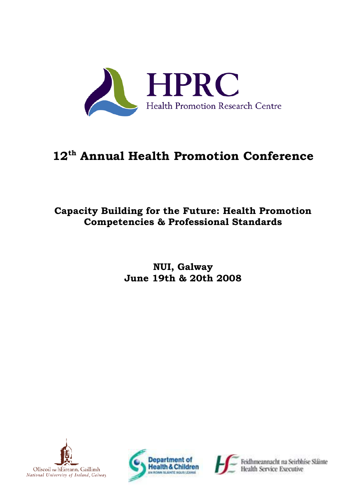

# **12th Annual Health Promotion Conference**

## **Capacity Building for the Future: Health Promotion Competencies & Professional Standards**

## **NUI, Galway June 19th & 20th 2008**





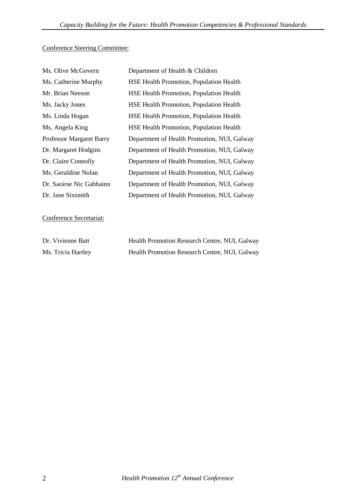### Conference Steering Committee:

| Ms. Olive McGovern              | Department of Health & Children                |
|---------------------------------|------------------------------------------------|
| Ms. Catherine Murphy            | <b>HSE Health Promotion, Population Health</b> |
| Mr. Brian Neeson                | <b>HSE Health Promotion, Population Health</b> |
| Ms. Jacky Jones                 | <b>HSE Health Promotion, Population Health</b> |
| Ms. Linda Hogan                 | <b>HSE Health Promotion, Population Health</b> |
| Ms. Angela King                 | <b>HSE Health Promotion, Population Health</b> |
| <b>Professor Margaret Barry</b> | Department of Health Promotion, NUI, Galway    |
| Dr. Margaret Hodgins            | Department of Health Promotion, NUI, Galway    |
| Dr. Claire Connolly             | Department of Health Promotion, NUI, Galway    |
| Ms. Geraldine Nolan             | Department of Health Promotion, NUI, Galway    |
| Dr. Saoirse Nic Gabhainn        | Department of Health Promotion, NUI, Galway    |
| Dr. Jane Sixsmith               | Department of Health Promotion, NUI, Galway    |

Conference Secretariat:

| Dr. Vivienne Batt  | Health Promotion Research Centre, NUI, Galway |
|--------------------|-----------------------------------------------|
| Ms. Tricia Hartley | Health Promotion Research Centre, NUI, Galway |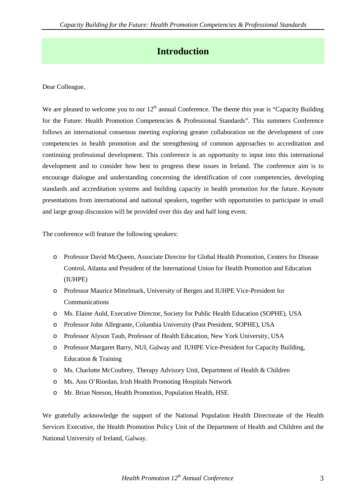### **Introduction**

Dear Colleague,

We are pleased to welcome you to our  $12<sup>th</sup>$  annual Conference. The theme this year is "Capacity Building for the Future: Health Promotion Competencies & Professional Standards". This summers Conference follows an international consensus meeting exploring greater collaboration on the development of core competencies in health promotion and the strengthening of common approaches to accreditation and continuing professional development. This conference is an opportunity to input into this international development and to consider how best to progress these issues in Ireland. The conference aim is to encourage dialogue and understanding concerning the identification of core competencies, developing standards and accreditation systems and building capacity in health promotion for the future. Keynote presentations from international and national speakers, together with opportunities to participate in small and large group discussion will be provided over this day and half long event.

The conference will feature the following speakers:

- o Professor David McQueen, Associate Director for Global Health Promotion, Centers for Disease Control, Atlanta and President of the International Union for Health Promotion and Education (IUHPE)
- o Professor Maurice Mittelmark, University of Bergen and IUHPE Vice-President for **Communications**
- o Ms. Elaine Auld, Executive Director, Society for Public Health Education (SOPHE), USA
- o Professor John Allegrante, Columbia University (Past President, SOPHE), USA
- o Professor Alyson Taub, Professor of Health Education, New York University, USA
- o Professor Margaret Barry, NUI, Galway and IUHPE Vice-President for Capacity Building, Education & Training
- o Ms. Charlotte McCoubrey, Therapy Advisory Unit, Department of Health & Children
- o Ms. Ann O'Riordan, Irish Health Promoting Hospitals Network
- o Mr. Brian Neeson, Health Promotion, Population Health, HSE

We gratefully acknowledge the support of the National Population Health Directorate of the Health Services Executive, the Health Promotion Policy Unit of the Department of Health and Children and the National University of Ireland, Galway.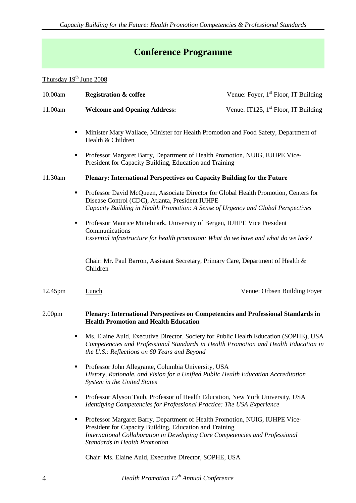# **Conference Programme**

### Thursday 19<sup>th</sup> June 2008

| 10.00am            |   | <b>Registration &amp; coffee</b>                                                                                                                                                                                                                               | Venue: Foyer, 1 <sup>st</sup> Floor, IT Building |  |
|--------------------|---|----------------------------------------------------------------------------------------------------------------------------------------------------------------------------------------------------------------------------------------------------------------|--------------------------------------------------|--|
| 11.00am            |   | <b>Welcome and Opening Address:</b>                                                                                                                                                                                                                            | Venue: IT125, $1st$ Floor, IT Building           |  |
|                    | ٠ | Minister Mary Wallace, Minister for Health Promotion and Food Safety, Department of<br>Health & Children                                                                                                                                                       |                                                  |  |
|                    | ٠ | Professor Margaret Barry, Department of Health Promotion, NUIG, IUHPE Vice-<br>President for Capacity Building, Education and Training                                                                                                                         |                                                  |  |
| 11.30am            |   | Plenary: International Perspectives on Capacity Building for the Future                                                                                                                                                                                        |                                                  |  |
|                    | ٠ | Professor David McQueen, Associate Director for Global Health Promotion, Centers for<br>Disease Control (CDC), Atlanta, President IUHPE<br>Capacity Building in Health Promotion: A Sense of Urgency and Global Perspectives                                   |                                                  |  |
| ٠                  |   | Professor Maurice Mittelmark, University of Bergen, IUHPE Vice President<br>Communications<br>Essential infrastructure for health promotion: What do we have and what do we lack?                                                                              |                                                  |  |
|                    |   | Chair: Mr. Paul Barron, Assistant Secretary, Primary Care, Department of Health &<br>Children                                                                                                                                                                  |                                                  |  |
| 12.45pm            |   | Lunch                                                                                                                                                                                                                                                          | Venue: Orbsen Building Foyer                     |  |
| 2.00 <sub>pm</sub> |   | Plenary: International Perspectives on Competencies and Professional Standards in<br><b>Health Promotion and Health Education</b>                                                                                                                              |                                                  |  |
|                    | ٠ | Ms. Elaine Auld, Executive Director, Society for Public Health Education (SOPHE), USA<br>Competencies and Professional Standards in Health Promotion and Health Education in<br>the U.S.: Reflections on 60 Years and Beyond                                   |                                                  |  |
|                    |   | Professor John Allegrante, Columbia University, USA<br>History, Rationale, and Vision for a Unified Public Health Education Accreditation<br>System in the United States                                                                                       |                                                  |  |
|                    | ٠ | Professor Alyson Taub, Professor of Health Education, New York University, USA<br>Identifying Competencies for Professional Practice: The USA Experience                                                                                                       |                                                  |  |
|                    | ٠ | Professor Margaret Barry, Department of Health Promotion, NUIG, IUHPE Vice-<br>President for Capacity Building, Education and Training<br>International Collaboration in Developing Core Competencies and Professional<br><b>Standards in Health Promotion</b> |                                                  |  |
|                    |   | Chair: Ms. Elaine Auld, Executive Director, SOPHE, USA                                                                                                                                                                                                         |                                                  |  |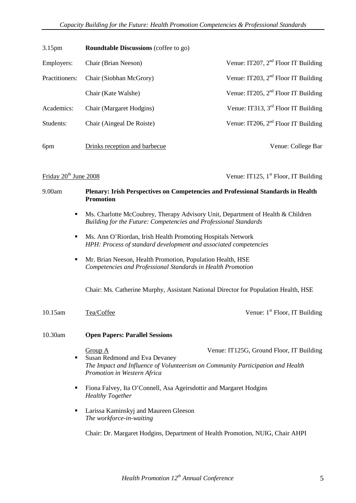| 3.15 <sub>pm</sub> | <b>Roundtable Discussions</b> (coffee to go) |                                       |
|--------------------|----------------------------------------------|---------------------------------------|
| Employers:         | Chair (Brian Neeson)                         | Venue: IT207, $2nd$ Floor IT Building |
| Practitioners:     | Chair (Siobhan McGrory)                      | Venue: IT203, $2nd$ Floor IT Building |
|                    | Chair (Kate Walshe)                          | Venue: IT205, $2nd$ Floor IT Building |
| Academics:         | Chair (Margaret Hodgins)                     | Venue: IT313, $3rd$ Floor IT Building |
| Students:          | Chair (Aingeal De Roiste)                    | Venue: IT206, $2nd$ Floor IT Building |
|                    |                                              |                                       |
| 6pm                | Drinks reception and barbecue                | Venue: College Bar                    |

Friday  $20^{th}$  June 2008 Venue: IT125, 1<sup>st</sup> Floor, IT Building

# 9.00am **Plenary: Irish Perspectives on Competencies and Professional Standards in Health Promotion** Ms. Charlotte McCoubrey, Therapy Advisory Unit, Department of Health & Children *Building for the Future: Competencies and Professional Standards* Ms. Ann O'Riordan, Irish Health Promoting Hospitals Network *HPH: Process of standard development and associated competencies* **Mr. Brian Neeson, Health Promotion, Population Health, HSE** *Competencies and Professional Standards in Health Promotion* Chair: Ms. Catherine Murphy, Assistant National Director for Population Health, HSE 10.15am Tea/Coffee Venue: 1<sup>st</sup> Floor, IT Building 10.30am **Open Papers: Parallel Sessions** Group A Venue: IT125G, Ground Floor, IT Building Susan Redmond and Eva Devaney *The Impact and Influence of Volunteerism on Community Participation and Health Promotion in Western Africa* Fiona Falvey, Ita O'Connell, Asa Ageirsdottir and Margaret Hodgins *Healthy Together* **Larissa Kaminskyj and Maureen Gleeson** *The workforce-in-waiting* Chair: Dr. Margaret Hodgins, Department of Health Promotion, NUIG, Chair AHPI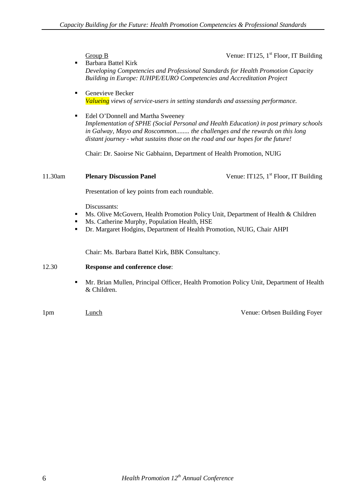Group B Venue: IT125,  $1<sup>st</sup>$  Floor, IT Building

- **Barbara Battel Kirk** *Developing Competencies and Professional Standards for Health Promotion Capacity Building in Europe: IUHPE/EURO Competencies and Accreditation Project*
- **Genevieve Becker** *Valueing views of service-users in setting standards and assessing performance.*
- Edel O'Donnell and Martha Sweeney *Implementation of SPHE (Social Personal and Health Education) in post primary schools in Galway, Mayo and Roscommon........ the challenges and the rewards on this long distant journey - what sustains those on the road and our hopes for the future!*

Chair: Dr. Saoirse Nic Gabhainn, Department of Health Promotion, NUIG

#### 11.30am **Plenary Discussion Panel** Venue: IT125, 1<sup>st</sup> Floor, IT Building

Presentation of key points from each roundtable.

Discussants:

- Ms. Olive McGovern, Health Promotion Policy Unit, Department of Health & Children
- Ms. Catherine Murphy, Population Health, HSE
- Dr. Margaret Hodgins, Department of Health Promotion, NUIG, Chair AHPI

Chair: Ms. Barbara Battel Kirk, BBK Consultancy.

#### 12.30 **Response and conference close**:

- Mr. Brian Mullen, Principal Officer, Health Promotion Policy Unit, Department of Health & Children.
- 

1pm Lunch Lunch Cunch Cunch Venue: Orbsen Building Foyer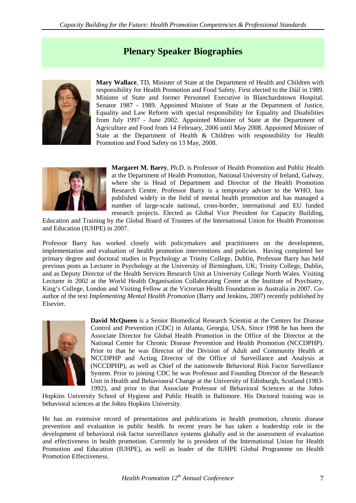### **Plenary Speaker Biographies**



**Mary Wallace**, TD, Minister of State at the Department of Health and Children with responsibility for Health Promotion and Food Safety. First elected to the Dáil in 1989. Minister of State and former Personnel Executive in Blanchardstown Hospital. Senator 1987 - 1989. Appointed Minister of State at the Department of Justice, Equality and Law Reform with special responsibility for Equality and Disabilities from July 1997 - June 2002. Appointed Minister of State at the Department of Agriculture and Food from 14 February, 2006 until May 2008. Appointed Minister of State at the Department of Health & Children with responsibility for Health Promotion and Food Safety on 13 May, 2008.



**Margaret M. Barry**, Ph.D. is Professor of Health Promotion and Public Health at the Department of Health Promotion, National University of Ireland, Galway, where she is Head of Department and Director of the Health Promotion Research Centre. Professor Barry is a temporary adviser to the WHO, has published widely in the field of mental health promotion and has managed a number of large-scale national, cross-border, international and EU funded research projects. Elected as Global Vice President for Capacity Building,

Education and Training by the Global Board of Trustees of the International Union for Health Promotion and Education (IUHPE) in 2007.

Professor Barry has worked closely with policymakers and practitioners on the development, implementation and evaluation of health promotion interventions and policies. Having completed her primary degree and doctoral studies in Psychology at Trinity College, Dublin, Professor Barry has held previous posts as Lecturer in Psychology at the University of Birmingham, UK; Trinity College, Dublin, and as Deputy Director of the Health Services Research Unit at University College North Wales. Visiting Lecturer in 2002 at the World Health Organisation Collaborating Centre at the Institute of Psychiatry, King's College, London and Visiting Fellow at the Victorian Health Foundation in Australia in 2007. Coauthor of the text *Implementing Mental Health Promotion* (Barry and Jenkins, 2007) recently published by Elsevier.



**David McQueen** is a Senior Biomedical Research Scientist at the Centers for Disease Control and Prevention (CDC) in Atlanta, Georgia, USA. Since 1998 he has been the Associate Director for Global Health Promotion in the Office of the Director at the National Center for Chronic Disease Prevention and Health Promotion (NCCDPHP). Prior to that he was Director of the Division of Adult and Community Health at NCCDPHP and Acting Director of the Office of Surveillance and Analysis at (NCCDPHP), as well as Chief of the nationwide Behavioral Risk Factor Surveillance System. Prior to joining CDC he was Professor and Founding Director of the Research Unit in Health and Behavioural Change at the University of Edinburgh, Scotland (1983- 1992), and prior to that Associate Professor of Behavioral Sciences at the Johns

Hopkins University School of Hygiene and Public Health in Baltimore. His Doctoral training was in behavioral sciences at the Johns Hopkins University.

He has an extensive record of presentations and publications in health promotion, chronic disease prevention and evaluation in public health. In recent years he has taken a leadership role in the development of behavioral risk factor surveillance systems globally and in the assessment of evaluation and effectiveness in health promotion. Currently he is president of the International Union for Health Promotion and Education (IUHPE), as well as leader of the IUHPE Global Programme on Health Promotion Effectiveness.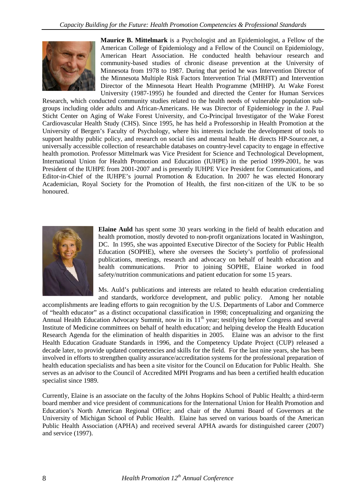

**Maurice B. Mittelmark** is a Psychologist and an Epidemiologist, a Fellow of the American College of Epidemiology and a Fellow of the Council on Epidemiology, American Heart Association. He conducted health behaviour research and community-based studies of chronic disease prevention at the University of Minnesota from 1978 to 1987. During that period he was Intervention Director of the Minnesota Multiple Risk Factors Intervention Trial (MRFIT) and Intervention Director of the Minnesota Heart Health Programme (MHHP). At Wake Forest University (1987-1995) he founded and directed the Center for Human Services

Research, which conducted community studies related to the health needs of vulnerable population subgroups including older adults and African-Americans. He was Director of Epidemiology in the J. Paul Sticht Center on Aging of Wake Forest University, and Co-Principal Investigator of the Wake Forest Cardiovascular Health Study (CHS). Since 1995, he has held a Professorship in Health Promotion at the University of Bergen's Faculty of Psychology, where his interests include the development of tools to support healthy public policy, and research on social ties and mental health. He directs HP-Source.net, a universally accessible collection of researchable databases on country-level capacity to engage in effective health promotion. Professor Mittelmark was Vice President for Science and Technological Development, International Union for Health Promotion and Education (IUHPE) in the period 1999-2001, he was President of the IUHPE from 2001-2007 and is presently IUHPE Vice President for Communications, and Editor-in-Chief of the IUHPE's journal Promotion & Education. In 2007 he was elected Honorary Academician, Royal Society for the Promotion of Health, the first non-citizen of the UK to be so honoured.



**Elaine Auld** has spent some 30 years working in the field of health education and health promotion, mostly devoted to non-profit organizations located in Washington, DC. In 1995, she was appointed Executive Director of the Society for Public Health Education (SOPHE), where she oversees the Society's portfolio of professional publications, meetings, research and advocacy on behalf of health education and health communications. Prior to joining SOPHE, Elaine worked in food safety/nutrition communications and patient education for some 15 years.

Ms. Auld's publications and interests are related to health education credentialing and standards, workforce development, and public policy. Among her notable

accomplishments are leading efforts to gain recognition by the U.S. Departments of Labor and Commerce of "health educator" as a distinct occupational classification in 1998; conceptualizing and organizing the Annual Health Education Advocacy Summit, now in its  $11<sup>th</sup>$  year; testifying before Congress and several Institute of Medicine committees on behalf of health education; and helping develop the Health Education Research Agenda for the elimination of health disparities in 2005. Elaine was an advisor to the first Health Education Graduate Standards in 1996, and the Competency Update Project (CUP) released a decade later, to provide updated competencies and skills for the field. For the last nine years, she has been involved in efforts to strengthen quality assurance/accreditation systems for the professional preparation of health education specialists and has been a site visitor for the Council on Education for Public Health. She serves as an advisor to the Council of Accredited MPH Programs and has been a certified health education specialist since 1989.

Currently, Elaine is an associate on the faculty of the Johns Hopkins School of Public Health; a third-term board member and vice president of communications for the International Union for Health Promotion and Education's North American Regional Office; and chair of the Alumni Board of Governors at the University of Michigan School of Public Health. Elaine has served on various boards of the American Public Health Association (APHA) and received several APHA awards for distinguished career (2007) and service (1997).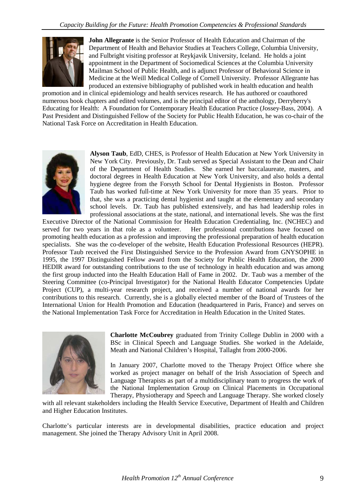

**John Allegrante** is the Senior Professor of Health Education and Chairman of the Department of Health and Behavior Studies at Teachers College, Columbia University, and Fulbright visiting professor at Reykjavik University, Iceland. He holds a joint appointment in the Department of Sociomedical Sciences at the Columbia University Mailman School of Public Health, and is adjunct Professor of Behavioral Science in Medicine at the Weill Medical College of Cornell University. Professor Allegrante has produced an extensive bibliography of published work in health education and health

promotion and in clinical epidemiology and health services research. He has authored or coauthored numerous book chapters and edited volumes, and is the principal editor of the anthology, Derryberry's Educating for Health: A Foundation for Contemporary Health Education Practice (Jossey-Bass, 2004). A Past President and Distinguished Fellow of the Society for Public Health Education, he was co-chair of the National Task Force on Accreditation in Health Education.



**Alyson Taub**, EdD, CHES, is Professor of Health Education at New York University in New York City. Previously, Dr. Taub served as Special Assistant to the Dean and Chair of the Department of Health Studies. She earned her baccalaureate, masters, and doctoral degrees in Health Education at New York University, and also holds a dental hygiene degree from the Forsyth School for Dental Hygienists in Boston. Professor Taub has worked full-time at New York University for more than 35 years. Prior to that, she was a practicing dental hygienist and taught at the elementary and secondary school levels. Dr. Taub has published extensively, and has had leadership roles in professional associations at the state, national, and international levels. She was the first

Executive Director of the National Commission for Health Education Credentialing, Inc. (NCHEC) and served for two years in that role as a volunteer. Her professional contributions have focused on promoting health education as a profession and improving the professional preparation of health education specialists. She was the co-developer of the website, Health Education Professional Resources (HEPR). Professor Taub received the First Distinguished Service to the Profession Award from GNYSOPHE in 1995, the 1997 Distinguished Fellow award from the Society for Public Health Education, the 2000 HEDIR award for outstanding contributions to the use of technology in health education and was among the first group inducted into the Health Education Hall of Fame in 2002. Dr. Taub was a member of the Steering Committee (co-Principal Investigator) for the National Health Educator Competencies Update Project (CUP), a multi-year research project, and received a number of national awards for her contributions to this research. Currently, she is a globally elected member of the Board of Trustees of the International Union for Health Promotion and Education (headquartered in Paris, France) and serves on the National Implementation Task Force for Accreditation in Health Education in the United States.



**Charlotte McCoubrey** graduated from Trinity College Dublin in 2000 with a BSc in Clinical Speech and Language Studies. She worked in the Adelaide, Meath and National Children's Hospital, Tallaght from 2000-2006.

In January 2007, Charlotte moved to the Therapy Project Office where she worked as project manager on behalf of the Irish Association of Speech and Language Therapists as part of a multidisciplinary team to progress the work of the National Implementation Group on Clinical Placements in Occupational Therapy, Physiotherapy and Speech and Language Therapy. She worked closely

with all relevant stakeholders including the Health Service Executive, Department of Health and Children and Higher Education Institutes.

Charlotte's particular interests are in developmental disabilities, practice education and project management. She joined the Therapy Advisory Unit in April 2008.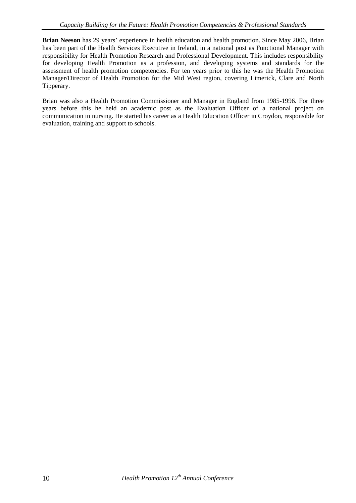**Brian Neeson** has 29 years' experience in health education and health promotion. Since May 2006, Brian has been part of the Health Services Executive in Ireland, in a national post as Functional Manager with responsibility for Health Promotion Research and Professional Development. This includes responsibility for developing Health Promotion as a profession, and developing systems and standards for the assessment of health promotion competencies. For ten years prior to this he was the Health Promotion Manager/Director of Health Promotion for the Mid West region, covering Limerick, Clare and North Tipperary.

Brian was also a Health Promotion Commissioner and Manager in England from 1985-1996. For three years before this he held an academic post as the Evaluation Officer of a national project on communication in nursing. He started his career as a Health Education Officer in Croydon, responsible for evaluation, training and support to schools.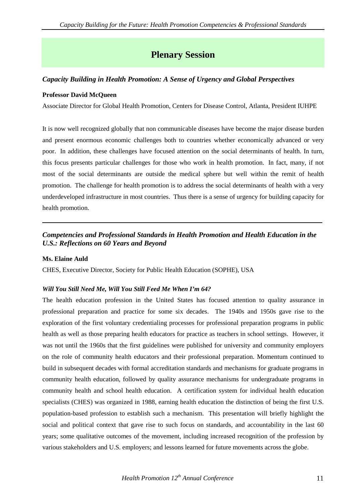### **Plenary Session**

#### *Capacity Building in Health Promotion: A Sense of Urgency and Global Perspectives*

#### **Professor David McQueen**

Associate Director for Global Health Promotion, Centers for Disease Control, Atlanta, President IUHPE

It is now well recognized globally that non communicable diseases have become the major disease burden and present enormous economic challenges both to countries whether economically advanced or very poor. In addition, these challenges have focused attention on the social determinants of health. In turn, this focus presents particular challenges for those who work in health promotion. In fact, many, if not most of the social determinants are outside the medical sphere but well within the remit of health promotion. The challenge for health promotion is to address the social determinants of health with a very underdeveloped infrastructure in most countries. Thus there is a sense of urgency for building capacity for health promotion.

### *Competencies and Professional Standards in Health Promotion and Health Education in the U.S.: Reflections on 60 Years and Beyond*

#### **Ms. Elaine Auld**

CHES, Executive Director, Society for Public Health Education (SOPHE), USA

#### *Will You Still Need Me, Will You Still Feed Me When I'm 64?*

The health education profession in the United States has focused attention to quality assurance in professional preparation and practice for some six decades. The 1940s and 1950s gave rise to the exploration of the first voluntary credentialing processes for professional preparation programs in public health as well as those preparing health educators for practice as teachers in school settings. However, it was not until the 1960s that the first guidelines were published for university and community employers on the role of community health educators and their professional preparation. Momentum continued to build in subsequent decades with formal accreditation standards and mechanisms for graduate programs in community health education, followed by quality assurance mechanisms for undergraduate programs in community health and school health education. A certification system for individual health education specialists (CHES) was organized in 1988, earning health education the distinction of being the first U.S. population-based profession to establish such a mechanism. This presentation will briefly highlight the social and political context that gave rise to such focus on standards, and accountability in the last 60 years; some qualitative outcomes of the movement, including increased recognition of the profession by various stakeholders and U.S. employers; and lessons learned for future movements across the globe.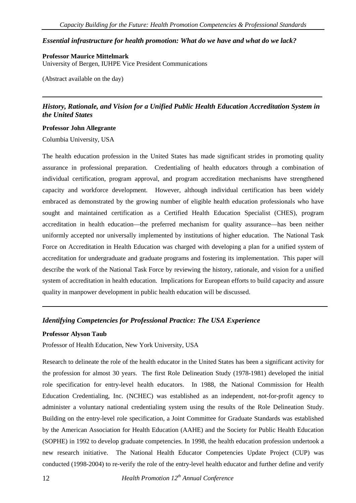#### *Essential infrastructure for health promotion: What do we have and what do we lack?*

**Professor Maurice Mittelmark** University of Bergen, IUHPE Vice President Communications

(Abstract available on the day)

*History, Rationale, and Vision for a Unified Public Health Education Accreditation System in the United States*

#### **Professor John Allegrante**

Columbia University, USA

The health education profession in the United States has made significant strides in promoting quality assurance in professional preparation. Credentialing of health educators through a combination of individual certification, program approval, and program accreditation mechanisms have strengthened capacity and workforce development. However, although individual certification has been widely embraced as demonstrated by the growing number of eligible health education professionals who have sought and maintained certification as a Certified Health Education Specialist (CHES), program accreditation in health education—the preferred mechanism for quality assurance—has been neither uniformly accepted nor universally implemented by institutions of higher education. The National Task Force on Accreditation in Health Education was charged with developing a plan for a unified system of accreditation for undergraduate and graduate programs and fostering its implementation. This paper will describe the work of the National Task Force by reviewing the history, rationale, and vision for a unified system of accreditation in health education. Implications for European efforts to build capacity and assure quality in manpower development in public health education will be discussed.

#### *Identifying Competencies for Professional Practice: The USA Experience*

#### **Professor Alyson Taub**

Professor of Health Education, New York University, USA

Research to delineate the role of the health educator in the United States has been a significant activity for the profession for almost 30 years. The first Role Delineation Study (1978-1981) developed the initial role specification for entry-level health educators. In 1988, the National Commission for Health Education Credentialing, Inc. (NCHEC) was established as an independent, not-for-profit agency to administer a voluntary national credentialing system using the results of the Role Delineation Study. Building on the entry-level role specification, a Joint Committee for Graduate Standards was established by the American Association for Health Education (AAHE) and the Society for Public Health Education (SOPHE) in 1992 to develop graduate competencies. In 1998, the health education profession undertook a new research initiative. The National Health Educator Competencies Update Project (CUP) was conducted (1998-2004) to re-verify the role of the entry-level health educator and further define and verify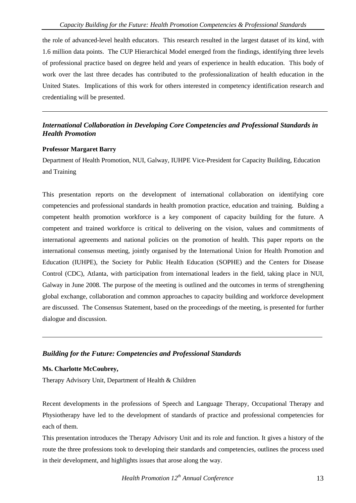the role of advanced-level health educators. This research resulted in the largest dataset of its kind, with 1.6 million data points. The CUP Hierarchical Model emerged from the findings, identifying three levels of professional practice based on degree held and years of experience in health education. This body of work over the last three decades has contributed to the professionalization of health education in the United States. Implications of this work for others interested in competency identification research and credentialing will be presented.

#### *International Collaboration in Developing Core Competencies and Professional Standards in Health Promotion*

#### **Professor Margaret Barry**

Department of Health Promotion, NUI, Galway, IUHPE Vice-President for Capacity Building, Education and Training

This presentation reports on the development of international collaboration on identifying core competencies and professional standards in health promotion practice, education and training. Bulding a competent health promotion workforce is a key component of capacity building for the future. A competent and trained workforce is critical to delivering on the vision, values and commitments of international agreements and national policies on the promotion of health. This paper reports on the international consensus meeting, jointly organised by the International Union for Health Promotion and Education (IUHPE), the Society for Public Health Education (SOPHE) and the Centers for Disease Control (CDC), Atlanta, with participation from international leaders in the field, taking place in NUI, Galway in June 2008. The purpose of the meeting is outlined and the outcomes in terms of strengthening global exchange, collaboration and common approaches to capacity building and workforce development are discussed. The Consensus Statement, based on the proceedings of the meeting, is presented for further dialogue and discussion.

#### *Building for the Future: Competencies and Professional Standards*

#### **Ms. Charlotte McCoubrey,**

Therapy Advisory Unit, Department of Health & Children

Recent developments in the professions of Speech and Language Therapy, Occupational Therapy and Physiotherapy have led to the development of standards of practice and professional competencies for each of them.

This presentation introduces the Therapy Advisory Unit and its role and function. It gives a history of the route the three professions took to developing their standards and competencies, outlines the process used in their development, and highlights issues that arose along the way.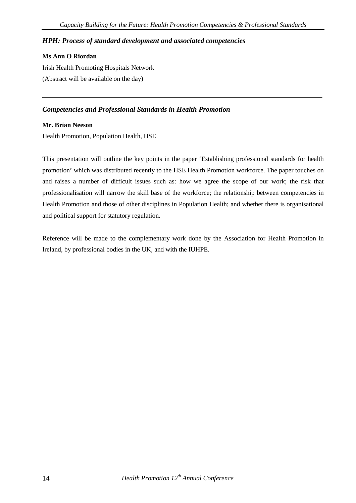#### *HPH: Process of standard development and associated competencies*

#### **Ms Ann O Riordan**

Irish Health Promoting Hospitals Network (Abstract will be available on the day)

#### *Competencies and Professional Standards in Health Promotion*

#### **Mr. Brian Neeson**

Health Promotion, Population Health, HSE

This presentation will outline the key points in the paper 'Establishing professional standards for health promotion' which was distributed recently to the HSE Health Promotion workforce. The paper touches on and raises a number of difficult issues such as: how we agree the scope of our work; the risk that professionalisation will narrow the skill base of the workforce; the relationship between competencies in Health Promotion and those of other disciplines in Population Health; and whether there is organisational and political support for statutory regulation.

Reference will be made to the complementary work done by the Association for Health Promotion in Ireland, by professional bodies in the UK, and with the IUHPE.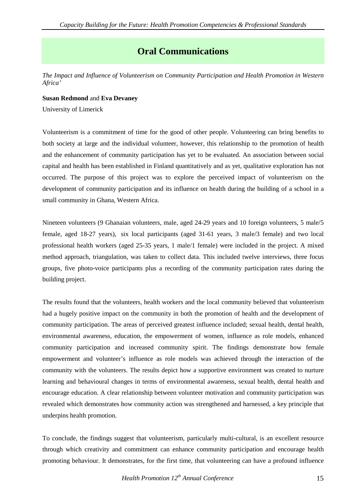### **Oral Communications**

*The Impact and Influence of Volunteerism on Community Participation and Health Promotion in Western Africa'*

#### **Susan Redmond** and **Eva Devaney**

University of Limerick

Volunteerism is a commitment of time for the good of other people. Volunteering can bring benefits to both society at large and the individual volunteer, however, this relationship to the promotion of health and the enhancement of community participation has yet to be evaluated. An association between social capital and health has been established in Finland quantitatively and as yet, qualitative exploration has not occurred. The purpose of this project was to explore the perceived impact of volunteerism on the development of community participation and its influence on health during the building of a school in a small community in Ghana, Western Africa.

Nineteen volunteers (9 Ghanaian volunteers, male, aged 24-29 years and 10 foreign volunteers, 5 male/5 female, aged 18-27 years), six local participants (aged 31-61 years, 3 male/3 female) and two local professional health workers (aged 25-35 years, 1 male/1 female) were included in the project. A mixed method approach, triangulation, was taken to collect data. This included twelve interviews, three focus groups, five photo-voice participants plus a recording of the community participation rates during the building project.

The results found that the volunteers, health workers and the local community believed that volunteerism had a hugely positive impact on the community in both the promotion of health and the development of community participation. The areas of perceived greatest influence included; sexual health, dental health, environmental awareness, education, the empowerment of women, influence as role models, enhanced community participation and increased community spirit. The findings demonstrate how female empowerment and volunteer's influence as role models was achieved through the interaction of the community with the volunteers. The results depict how a supportive environment was created to nurture learning and behavioural changes in terms of environmental awareness, sexual health, dental health and encourage education. A clear relationship between volunteer motivation and community participation was revealed which demonstrates how community action was strengthened and harnessed, a key principle that underpins health promotion.

To conclude, the findings suggest that volunteerism, particularly multi-cultural, is an excellent resource through which creativity and commitment can enhance community participation and encourage health promoting behaviour. It demonstrates, for the first time, that volunteering can have a profound influence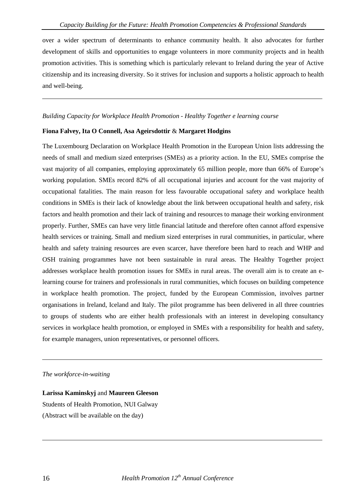over a wider spectrum of determinants to enhance community health. It also advocates for further development of skills and opportunities to engage volunteers in more community projects and in health promotion activities. This is something which is particularly relevant to Ireland during the year of Active citizenship and its increasing diversity. So it strives for inclusion and supports a holistic approach to health and well-being.

#### *Building Capacity for Workplace Health Promotion - Healthy Together e learning course*

#### **Fiona Falvey, Ita O Connell, Asa Ageirsdottir** & **Margaret Hodgins**

The Luxembourg Declaration on Workplace Health Promotion in the European Union lists addressing the needs of small and medium sized enterprises (SMEs) as a priority action. In the EU, SMEs comprise the vast majority of all companies, employing approximately 65 million people, more than 66% of Europe's working population. SMEs record 82% of all occupational injuries and account for the vast majority of occupational fatalities. The main reason for less favourable occupational safety and workplace health conditions in SMEs is their lack of knowledge about the link between occupational health and safety, risk factors and health promotion and their lack of training and resources to manage their working environment properly. Further, SMEs can have very little financial latitude and therefore often cannot afford expensive health services or training. Small and medium sized enterprises in rural communities, in particular, where health and safety training resources are even scarcer, have therefore been hard to reach and WHP and OSH training programmes have not been sustainable in rural areas. The Healthy Together project addresses workplace health promotion issues for SMEs in rural areas. The overall aim is to create an elearning course for trainers and professionals in rural communities, which focuses on building competence in workplace health promotion. The project, funded by the European Commission, involves partner organisations in Ireland, Iceland and Italy. The pilot programme has been delivered in all three countries to groups of students who are either health professionals with an interest in developing consultancy services in workplace health promotion, or employed in SMEs with a responsibility for health and safety, for example managers, union representatives, or personnel officers.

#### *The workforce-in-waiting*

**Larissa Kaminskyj** and **Maureen Gleeson** Students of Health Promotion, NUI Galway (Abstract will be available on the day)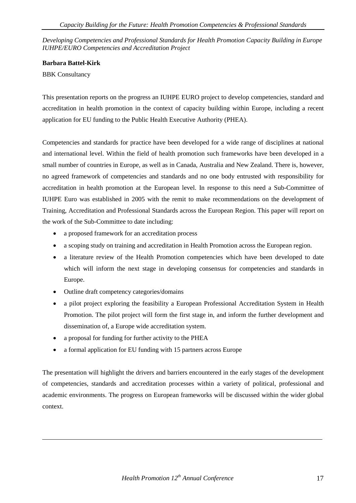*Developing Competencies and Professional Standards for Health Promotion Capacity Building in Europe IUHPE/EURO Competencies and Accreditation Project*

#### **Barbara Battel-Kirk**

BBK Consultancy

This presentation reports on the progress an IUHPE EURO project to develop competencies, standard and accreditation in health promotion in the context of capacity building within Europe, including a recent application for EU funding to the Public Health Executive Authority (PHEA).

Competencies and standards for practice have been developed for a wide range of disciplines at national and international level. Within the field of health promotion such frameworks have been developed in a small number of countries in Europe, as well as in Canada, Australia and New Zealand. There is, however, no agreed framework of competencies and standards and no one body entrusted with responsibility for accreditation in health promotion at the European level. In response to this need a Sub-Committee of IUHPE Euro was established in 2005 with the remit to make recommendations on the development of Training, Accreditation and Professional Standards across the European Region. This paper will report on the work of the Sub-Committee to date including:

- a proposed framework for an accreditation process
- a scoping study on training and accreditation in Health Promotion across the European region.
- a literature review of the Health Promotion competencies which have been developed to date which will inform the next stage in developing consensus for competencies and standards in Europe.
- Outline draft competency categories/domains
- a pilot project exploring the feasibility a European Professional Accreditation System in Health Promotion. The pilot project will form the first stage in, and inform the further development and dissemination of, a Europe wide accreditation system.
- a proposal for funding for further activity to the PHEA
- a formal application for EU funding with 15 partners across Europe

The presentation will highlight the drivers and barriers encountered in the early stages of the development of competencies, standards and accreditation processes within a variety of political, professional and academic environments. The progress on European frameworks will be discussed within the wider global context.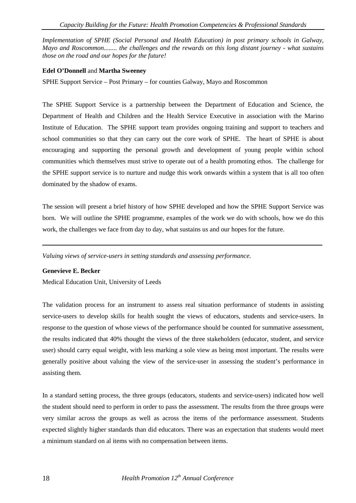*Implementation of SPHE (Social Personal and Health Education) in post primary schools in Galway, Mayo and Roscommon........ the challenges and the rewards on this long distant journey - what sustains those on the road and our hopes for the future!*

#### **Edel O'Donnell** and **Martha Sweeney**

SPHE Support Service – Post Primary – for counties Galway, Mayo and Roscommon

The SPHE Support Service is a partnership between the Department of Education and Science, the Department of Health and Children and the Health Service Executive in association with the Marino Institute of Education. The SPHE support team provides ongoing training and support to teachers and school communities so that they can carry out the core work of SPHE. The heart of SPHE is about encouraging and supporting the personal growth and development of young people within school communities which themselves must strive to operate out of a health promoting ethos. The challenge for the SPHE support service is to nurture and nudge this work onwards within a system that is all too often dominated by the shadow of exams.

The session will present a brief history of how SPHE developed and how the SPHE Support Service was born. We will outline the SPHE programme, examples of the work we do with schools, how we do this work, the challenges we face from day to day, what sustains us and our hopes for the future.

*Valuing views of service-users in setting standards and assessing performance.*

#### **Genevieve E. Becker**

Medical Education Unit, University of Leeds

The validation process for an instrument to assess real situation performance of students in assisting service-users to develop skills for health sought the views of educators, students and service-users. In response to the question of whose views of the performance should be counted for summative assessment, the results indicated that 40% thought the views of the three stakeholders (educator, student, and service user) should carry equal weight, with less marking a sole view as being most important. The results were generally positive about valuing the view of the service-user in assessing the student's performance in assisting them.

In a standard setting process, the three groups (educators, students and service-users) indicated how well the student should need to perform in order to pass the assessment. The results from the three groups were very similar across the groups as well as across the items of the performance assessment. Students expected slightly higher standards than did educators. There was an expectation that students would meet a minimum standard on al items with no compensation between items.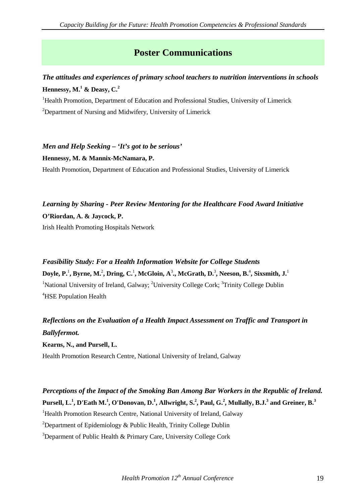### **Poster Communications**

### *The attitudes and experiences of primary school teachers to nutrition interventions in schools*  **Hennessy, M.<sup>1</sup> & Deasy, C.<sup>2</sup>**

<sup>1</sup>Health Promotion, Department of Education and Professional Studies, University of Limerick <sup>2</sup>Department of Nursing and Midwifery, University of Limerick

### *Men and Help Seeking – 'It's got to be serious'*

**Hennessy, M. & Mannix-McNamara, P.**

Health Promotion, Department of Education and Professional Studies, University of Limerick

# *Learning by Sharing - Peer Review Mentoring for the Healthcare Food Award Initiative* **O'Riordan, A. & Jaycock, P.**

Irish Health Promoting Hospitals Network

### *Feasibility Study: For a Health Information Website for College Students* **Doyle, P.** 1 **, Byrne, M.** 2 **, Dring, C.**<sup>1</sup> **, McGloin, A**<sup>3</sup> **., McGrath, D.**<sup>3</sup> **, Neeson, B.**<sup>4</sup> **, Sixsmith, J.**<sup>1</sup> <sup>1</sup>National University of Ireland, Galway; <sup>2</sup>University College Cork; <sup>3</sup>Trinity College Dublin 4 HSE Population Health

### *Reflections on the Evaluation of a Health Impact Assessment on Traffic and Transport in Ballyfermot.*

**Kearns, N., and Pursell, L.**

Health Promotion Research Centre, National University of Ireland, Galway

### *Perceptions of the Impact of the Smoking Ban Among Bar Workers in the Republic of Ireland.* **Pursell, L.1 , D'Eath M.<sup>1</sup> , O'Donovan, D. 1 , Allwright, S.<sup>2</sup> , Paul, G.2 , Mullally, B.J.3 and Greiner, B.3**

<sup>1</sup>Health Promotion Research Centre, National University of Ireland, Galway

<sup>2</sup>Department of Epidemiology & Public Health, Trinity College Dublin

<sup>3</sup>Deparment of Public Health & Primary Care, University College Cork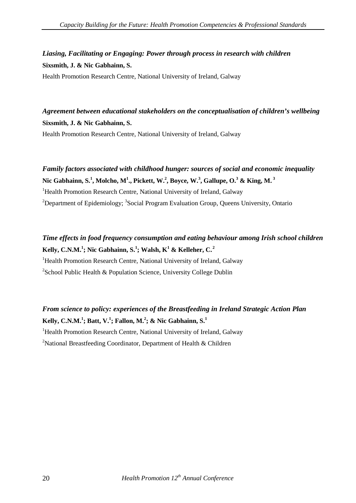### *Liasing, Facilitating or Engaging: Power through process in research with children* **Sixsmith, J. & Nic Gabhainn, S.**

Health Promotion Research Centre, National University of Ireland, Galway

*Agreement between educational stakeholders on the conceptualisation of children's wellbeing* **Sixsmith, J. & Nic Gabhainn, S.** Health Promotion Research Centre, National University of Ireland, Galway

*Family factors associated with childhood hunger: sources of social and economic inequality* **Nic Gabhainn, S.<sup>1</sup> , Molcho, M<sup>1</sup> ., Pickett, W.2 , Boyce, W.3 , Gallupe, O.3 & King, M. <sup>3</sup>** <sup>1</sup>Health Promotion Research Centre, National University of Ireland, Galway <sup>2</sup>Department of Epidemiology; <sup>3</sup>Social Program Evaluation Group, Queens University, Ontario

*Time effects in food frequency consumption and eating behaviour among Irish school children* **Kelly, C.N.M.1 ; Nic Gabhainn, S.<sup>1</sup> ; Walsh, K<sup>1</sup> & Kelleher, C. <sup>2</sup>** <sup>1</sup>Health Promotion Research Centre, National University of Ireland, Galway <sup>2</sup>School Public Health & Population Science, University College Dublin

*From science to policy: experiences of the Breastfeeding in Ireland Strategic Action Plan* **Kelly, C.N.M.1 ; Batt, V.<sup>1</sup> ; Fallon, M.2 ; & Nic Gabhainn, S.<sup>1</sup>** <sup>1</sup>Health Promotion Research Centre, National University of Ireland, Galway <sup>2</sup>National Breastfeeding Coordinator, Department of Health & Children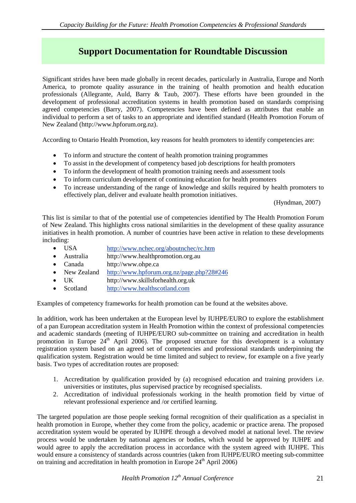### **Support Documentation for Roundtable Discussion**

Significant strides have been made globally in recent decades, particularly in Australia, Europe and North America, to promote quality assurance in the training of health promotion and health education professionals (Allegrante, Auld, Barry & Taub, 2007). These efforts have been grounded in the development of professional accreditation systems in health promotion based on standards comprising agreed competencies (Barry, 2007). Competencies have been defined as attributes that enable an individual to perform a set of tasks to an appropriate and identified standard (Health Promotion Forum of New Zealand (http://www.hpforum.org.nz).

According to Ontario Health Promotion, key reasons for health promoters to identify competencies are:

- To inform and structure the content of health promotion training programmes
- To assist in the development of competency based job descriptions for health promoters
- To inform the development of health promotion training needs and assessment tools
- To inform curriculum development of continuing education for health promoters
- To increase understanding of the range of knowledge and skills required by health promoters to effectively plan, deliver and evaluate health promotion initiatives.

(Hyndman, 2007)

This list is similar to that of the potential use of competencies identified by The Health Promotion Forum of New Zealand. This highlights cross national similarities in the development of these quality assurance initiatives in health promotion. A number of countries have been active in relation to these developments including:

- USA <http://www.nchec.org/aboutnchec/rc.htm>
- Australia http://www.healthpromotion.org.au
- Canada http://www.ohpe.ca
- New Zealand <http://www.hpforum.org.nz/page.php?28#246>
- UK http://www.skillsforhealth.org.uk
- Scotland [http://www.healthscotland.com](http://www.healthscotland.com/)

Examples of competency frameworks for health promotion can be found at the websites above.

In addition, work has been undertaken at the European level by IUHPE/EURO to explore the establishment of a pan European accreditation system in Health Promotion within the context of professional competencies and academic standards (meeting of IUHPE/EURO sub-committee on training and accreditation in health promotion in Europe  $24<sup>th</sup>$  April 2006). The proposed structure for this development is a voluntary registration system based on an agreed set of competencies and professional standards underpinning the qualification system. Registration would be time limited and subject to review, for example on a five yearly basis. Two types of accreditation routes are proposed:

- 1. Accreditation by qualification provided by (a) recognised education and training providers i.e. universities or institutes, plus supervised practice by recognised specialists.
- 2. Accreditation of individual professionals working in the health promotion field by virtue of relevant professional experience and /or certified learning.

The targeted population are those people seeking formal recognition of their qualification as a specialist in health promotion in Europe, whether they come from the policy, academic or practice arena. The proposed accreditation system would be operated by IUHPE through a devolved model at national level. The review process would be undertaken by national agencies or bodies, which would be approved by IUHPE and would agree to apply the accreditation process in accordance with the system agreed with IUHPE. This would ensure a consistency of standards across countries (taken from IUHPE/EURO meeting sub-committee on training and accreditation in health promotion in Europe  $24<sup>th</sup>$  April 2006)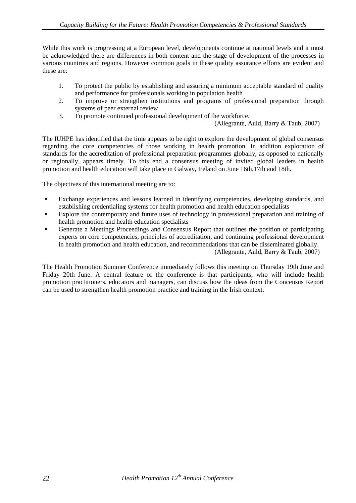While this work is progressing at a European level, developments continue at national levels and it must be acknowledged there are differences in both content and the stage of development of the processes in various countries and regions. However common goals in these quality assurance efforts are evident and these are:

- 1. To protect the public by establishing and assuring a minimum acceptable standard of quality and performance for professionals working in population health
- 2. To improve or strengthen institutions and programs of professional preparation through systems of peer external review
- 3. To promote continued professional development of the workforce.

(Allegrante, Auld, Barry & Taub, 2007)

The IUHPE has identified that the time appears to be right to explore the development of global consensus regarding the core competencies of those working in health promotion. In addition exploration of standards for the accreditation of professional preparation programmes globally, as opposed to nationally or regionally, appears timely. To this end a consensus meeting of invited global leaders in health promotion and health education will take place in Galway, Ireland on June 16th,17th and 18th.

The objectives of this international meeting are to:

- Exchange experiences and lessons learned in identifying competencies, developing standards, and establishing credentialing systems for health promotion and health education specialists
- **Explore the contemporary and future uses of technology in professional preparation and training of** health promotion and health education specialists
- Generate a Meetings Proceedings and Consensus Report that outlines the position of participating experts on core competencies, principles of accreditation, and continuing professional development in health promotion and health education, and recommendations that can be disseminated globally. (Allegrante, Auld, Barry & Taub, 2007)

The Health Promotion Summer Conference immediately follows this meeting on Thursday 19th June and Friday 20th June. A central feature of the conference is that participants, who will include health promotion practitioners, educators and managers, can discuss how the ideas from the Concensus Report can be used to strengthen health promotion practice and training in the Irish context.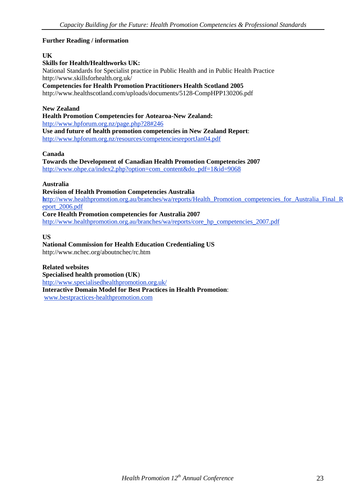#### **Further Reading / information**

#### **UK**

#### **Skills for Health/Healthworks UK:**

National Standards for Specialist practice in Public Health and in Public Health Practice http://www.skillsforhealth.org.uk/

**Competencies for Health Promotion Practitioners Health Scotland 2005** 

http://www.healthscotland.com/uploads/documents/5128-CompHPP130206.pdf

#### **New Zealand**

**Health Promotion Competencies for Aotearoa-New Zealand:** <http://www.hpforum.org.nz/page.php?28#246> **Use and future of health promotion competencies in New Zealand Report**:

<http://www.hpforum.org.nz/resources/competenciesreportJan04.pdf>

#### **Canada**

**Towards the Development of Canadian Health Promotion Competencies 2007** [http://www.ohpe.ca/index2.php?option=com\\_content&do\\_pdf=1&id=9068](http://www.ohpe.ca/index2.php?option=com_content&do_pdf=1&id=9068) 

#### **Australia**

#### **Revision of Health Promotion Competencies Australia**

**h**[ttp://www.healthpromotion.org.au/branches/wa/reports/Health\\_Promotion\\_competencies\\_for\\_Australia\\_Final\\_R](http://www.healthpromotion.org.au/branches/wa/reports/Health_Promotion_competencies_for_Australia_Final_Report_2006.pdf) [eport\\_2006.pdf](http://www.healthpromotion.org.au/branches/wa/reports/Health_Promotion_competencies_for_Australia_Final_Report_2006.pdf)

#### **Core Health Promotion competencies for Australia 2007**

[http://www.healthpromotion.org.au/branches/wa/reports/core\\_hp\\_competencies\\_2007.pdf](http://www.healthpromotion.org.au/branches/wa/reports/core_hp_competencies_2007.pdf)

#### **US**

#### **National Commission for Health Education Credentialing US**

http://www.nchec.org/aboutnchec/rc.htm

#### **Related websites**

**Specialised health promotion (UK**) <http://www.specialisedhealthpromotion.org.uk/> **Interactive Domain Model for Best Practices in Health Promotion**: [www.bestpractices-healthpromotion.com](http://www.bestpractices-healthpromotion.com/)